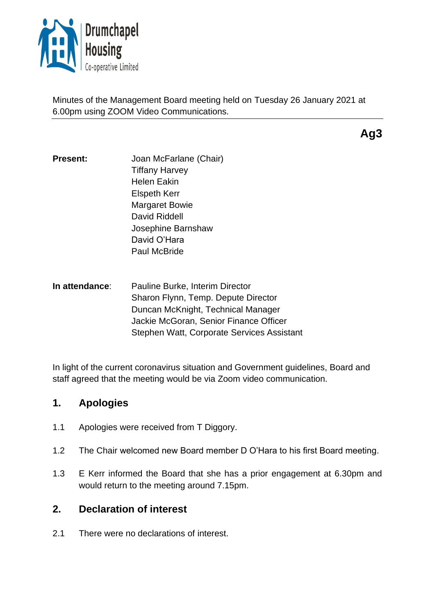

Minutes of the Management Board meeting held on Tuesday 26 January 2021 at 6.00pm using ZOOM Video Communications.

**Ag3**

- **Present:** Joan McFarlane (Chair) Tiffany Harvey Helen Eakin Elspeth Kerr Margaret Bowie David Riddell Josephine Barnshaw David O'Hara Paul McBride
- **In attendance**: Pauline Burke, Interim Director Sharon Flynn, Temp. Depute Director Duncan McKnight, Technical Manager Jackie McGoran, Senior Finance Officer Stephen Watt, Corporate Services Assistant

In light of the current coronavirus situation and Government guidelines, Board and staff agreed that the meeting would be via Zoom video communication.

# **1. Apologies**

- 1.1 Apologies were received from T Diggory.
- 1.2 The Chair welcomed new Board member D O'Hara to his first Board meeting.
- 1.3 E Kerr informed the Board that she has a prior engagement at 6.30pm and would return to the meeting around 7.15pm.

# **2. Declaration of interest**

2.1 There were no declarations of interest.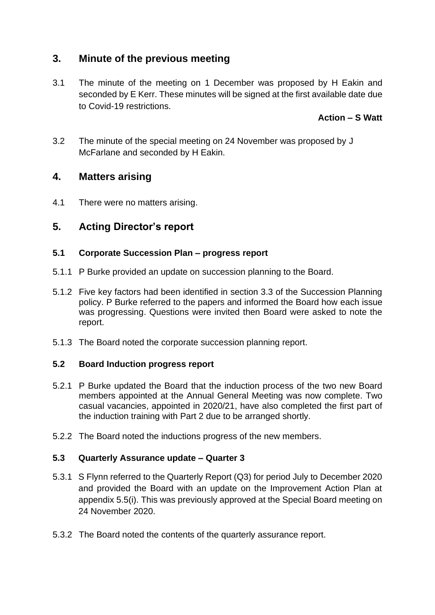# **3. Minute of the previous meeting**

3.1 The minute of the meeting on 1 December was proposed by H Eakin and seconded by E Kerr. These minutes will be signed at the first available date due to Covid-19 restrictions.

## **Action – S Watt**

3.2 The minute of the special meeting on 24 November was proposed by J McFarlane and seconded by H Eakin.

## **4. Matters arising**

4.1 There were no matters arising.

## **5. Acting Director's report**

#### **5.1 Corporate Succession Plan – progress report**

- 5.1.1 P Burke provided an update on succession planning to the Board.
- 5.1.2 Five key factors had been identified in section 3.3 of the Succession Planning policy. P Burke referred to the papers and informed the Board how each issue was progressing. Questions were invited then Board were asked to note the report.
- 5.1.3 The Board noted the corporate succession planning report.

### **5.2 Board Induction progress report**

- 5.2.1 P Burke updated the Board that the induction process of the two new Board members appointed at the Annual General Meeting was now complete. Two casual vacancies, appointed in 2020/21, have also completed the first part of the induction training with Part 2 due to be arranged shortly.
- 5.2.2 The Board noted the inductions progress of the new members.

### **5.3 Quarterly Assurance update – Quarter 3**

- 5.3.1 S Flynn referred to the Quarterly Report (Q3) for period July to December 2020 and provided the Board with an update on the Improvement Action Plan at appendix 5.5(i). This was previously approved at the Special Board meeting on 24 November 2020.
- 5.3.2 The Board noted the contents of the quarterly assurance report.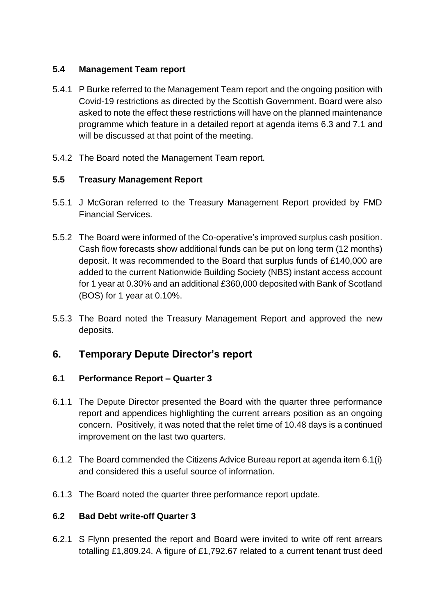### **5.4 Management Team report**

- 5.4.1 P Burke referred to the Management Team report and the ongoing position with Covid-19 restrictions as directed by the Scottish Government. Board were also asked to note the effect these restrictions will have on the planned maintenance programme which feature in a detailed report at agenda items 6.3 and 7.1 and will be discussed at that point of the meeting.
- 5.4.2 The Board noted the Management Team report.

## **5.5 Treasury Management Report**

- 5.5.1 J McGoran referred to the Treasury Management Report provided by FMD Financial Services.
- 5.5.2 The Board were informed of the Co-operative's improved surplus cash position. Cash flow forecasts show additional funds can be put on long term (12 months) deposit. It was recommended to the Board that surplus funds of £140,000 are added to the current Nationwide Building Society (NBS) instant access account for 1 year at 0.30% and an additional £360,000 deposited with Bank of Scotland (BOS) for 1 year at 0.10%.
- 5.5.3 The Board noted the Treasury Management Report and approved the new deposits.

# **6. Temporary Depute Director's report**

## **6.1 Performance Report – Quarter 3**

- 6.1.1 The Depute Director presented the Board with the quarter three performance report and appendices highlighting the current arrears position as an ongoing concern. Positively, it was noted that the relet time of 10.48 days is a continued improvement on the last two quarters.
- 6.1.2 The Board commended the Citizens Advice Bureau report at agenda item 6.1(i) and considered this a useful source of information.
- 6.1.3 The Board noted the quarter three performance report update.

### **6.2 Bad Debt write-off Quarter 3**

6.2.1 S Flynn presented the report and Board were invited to write off rent arrears totalling £1,809.24. A figure of £1,792.67 related to a current tenant trust deed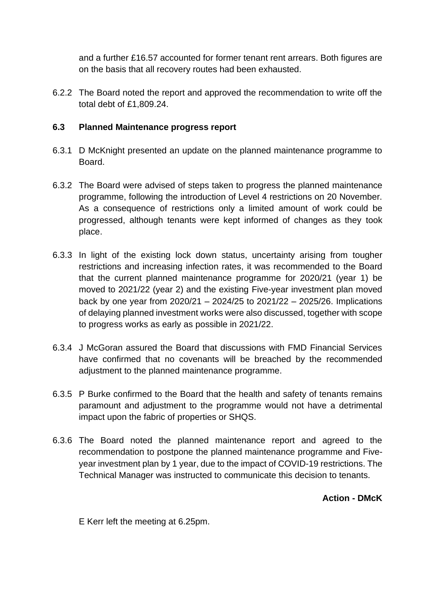and a further £16.57 accounted for former tenant rent arrears. Both figures are on the basis that all recovery routes had been exhausted.

6.2.2 The Board noted the report and approved the recommendation to write off the total debt of £1,809.24.

#### **6.3 Planned Maintenance progress report**

- 6.3.1 D McKnight presented an update on the planned maintenance programme to Board.
- 6.3.2 The Board were advised of steps taken to progress the planned maintenance programme, following the introduction of Level 4 restrictions on 20 November. As a consequence of restrictions only a limited amount of work could be progressed, although tenants were kept informed of changes as they took place.
- 6.3.3 In light of the existing lock down status, uncertainty arising from tougher restrictions and increasing infection rates, it was recommended to the Board that the current planned maintenance programme for 2020/21 (year 1) be moved to 2021/22 (year 2) and the existing Five-year investment plan moved back by one year from 2020/21 – 2024/25 to 2021/22 – 2025/26. Implications of delaying planned investment works were also discussed, together with scope to progress works as early as possible in 2021/22.
- 6.3.4 J McGoran assured the Board that discussions with FMD Financial Services have confirmed that no covenants will be breached by the recommended adjustment to the planned maintenance programme.
- 6.3.5 P Burke confirmed to the Board that the health and safety of tenants remains paramount and adjustment to the programme would not have a detrimental impact upon the fabric of properties or SHQS.
- 6.3.6 The Board noted the planned maintenance report and agreed to the recommendation to postpone the planned maintenance programme and Fiveyear investment plan by 1 year, due to the impact of COVID-19 restrictions. The Technical Manager was instructed to communicate this decision to tenants.

**Action - DMcK**

E Kerr left the meeting at 6.25pm.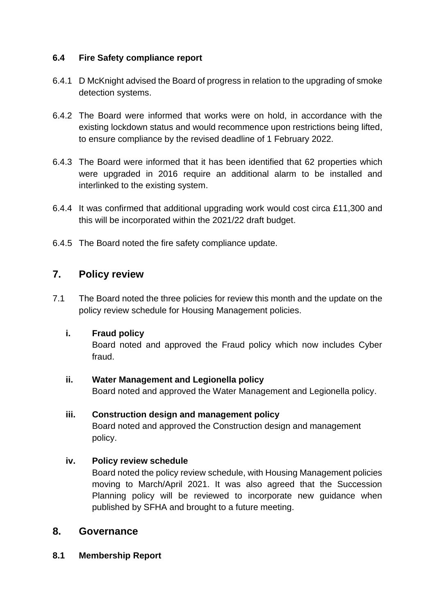## **6.4 Fire Safety compliance report**

- 6.4.1 D McKnight advised the Board of progress in relation to the upgrading of smoke detection systems.
- 6.4.2 The Board were informed that works were on hold, in accordance with the existing lockdown status and would recommence upon restrictions being lifted, to ensure compliance by the revised deadline of 1 February 2022.
- 6.4.3 The Board were informed that it has been identified that 62 properties which were upgraded in 2016 require an additional alarm to be installed and interlinked to the existing system.
- 6.4.4 It was confirmed that additional upgrading work would cost circa £11,300 and this will be incorporated within the 2021/22 draft budget.
- 6.4.5 The Board noted the fire safety compliance update.

# **7. Policy review**

7.1 The Board noted the three policies for review this month and the update on the policy review schedule for Housing Management policies.

### **i. Fraud policy**

Board noted and approved the Fraud policy which now includes Cyber fraud.

### **ii. Water Management and Legionella policy**

Board noted and approved the Water Management and Legionella policy.

### **iii. Construction design and management policy**

Board noted and approved the Construction design and management policy.

### **iv. Policy review schedule**

Board noted the policy review schedule, with Housing Management policies moving to March/April 2021. It was also agreed that the Succession Planning policy will be reviewed to incorporate new guidance when published by SFHA and brought to a future meeting.

## **8. Governance**

**8.1 Membership Report**